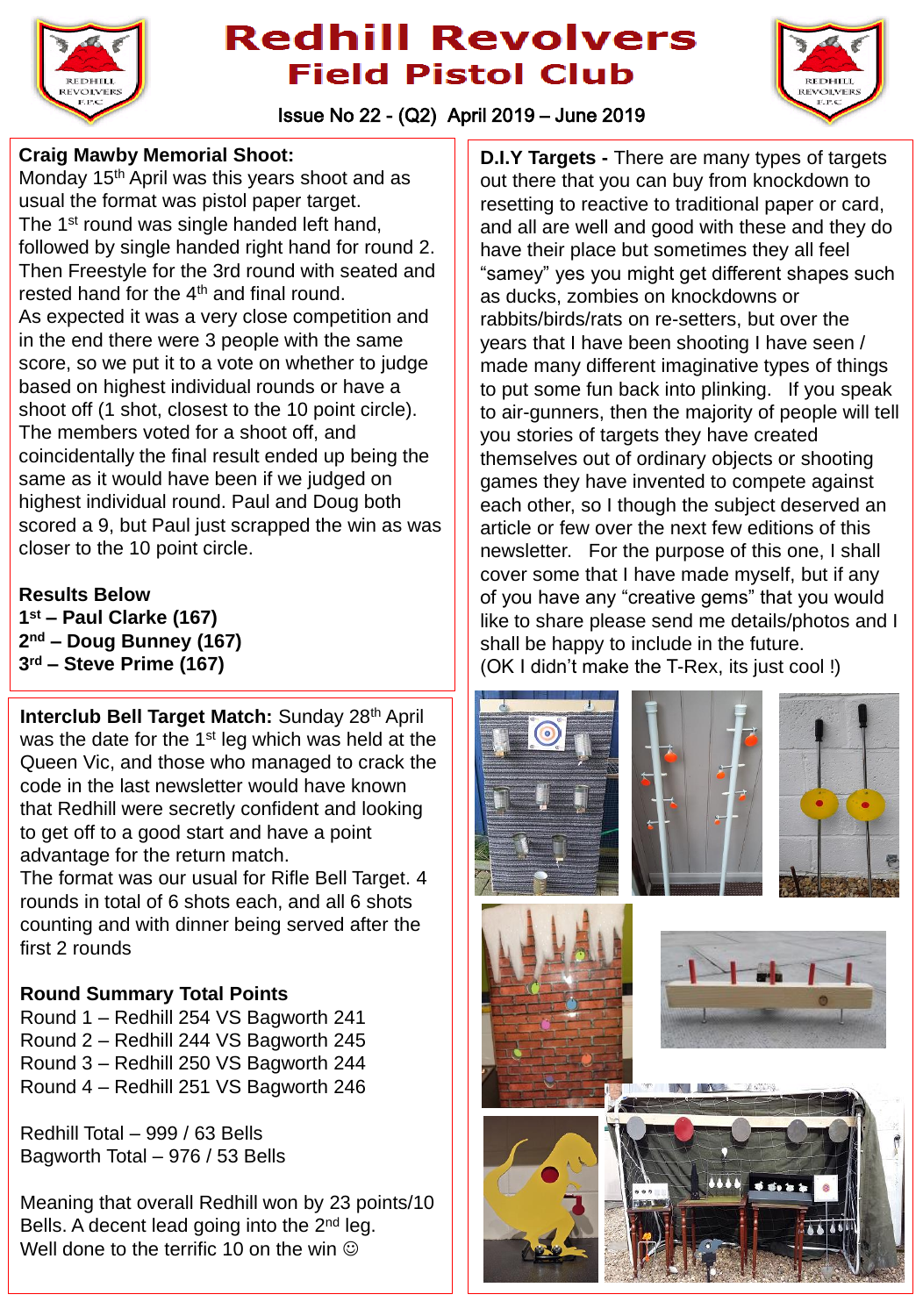



Issue No 22 - (Q2) April 2019 – June 2019

#### **Craig Mawby Memorial Shoot:**

Monday 15<sup>th</sup> April was this years shoot and as usual the format was pistol paper target. The 1<sup>st</sup> round was single handed left hand, followed by single handed right hand for round 2. Then Freestyle for the 3rd round with seated and rested hand for the 4<sup>th</sup> and final round. As expected it was a very close competition and in the end there were 3 people with the same score, so we put it to a vote on whether to judge based on highest individual rounds or have a shoot off (1 shot, closest to the 10 point circle). The members voted for a shoot off, and coincidentally the final result ended up being the same as it would have been if we judged on highest individual round. Paul and Doug both scored a 9, but Paul just scrapped the win as was closer to the 10 point circle.

#### **Results Below**

**1 st – Paul Clarke (167) 2 nd – Doug Bunney (167) 3 rd – Steve Prime (167)**

**Interclub Bell Target Match:** Sunday 28th April was the date for the 1<sup>st</sup> leg which was held at the Queen Vic, and those who managed to crack the code in the last newsletter would have known that Redhill were secretly confident and looking to get off to a good start and have a point advantage for the return match.

The format was our usual for Rifle Bell Target. 4 rounds in total of 6 shots each, and all 6 shots counting and with dinner being served after the first 2 rounds

### **Round Summary Total Points**

Round 1 – Redhill 254 VS Bagworth 241 Round 2 – Redhill 244 VS Bagworth 245 Round 3 – Redhill 250 VS Bagworth 244 Round 4 – Redhill 251 VS Bagworth 246

Redhill Total – 999 / 63 Bells Bagworth Total – 976 / 53 Bells

Meaning that overall Redhill won by 23 points/10 Bells. A decent lead going into the 2<sup>nd</sup> leg. Well done to the terrific 10 on the win  $\odot$ 

**D.I.Y Targets -** There are many types of targets out there that you can buy from knockdown to resetting to reactive to traditional paper or card, and all are well and good with these and they do have their place but sometimes they all feel "samey" yes you might get different shapes such as ducks, zombies on knockdowns or rabbits/birds/rats on re-setters, but over the years that I have been shooting I have seen / made many different imaginative types of things to put some fun back into plinking. If you speak to air-gunners, then the majority of people will tell you stories of targets they have created themselves out of ordinary objects or shooting games they have invented to compete against each other, so I though the subject deserved an article or few over the next few editions of this newsletter. For the purpose of this one, I shall cover some that I have made myself, but if any of you have any "creative gems" that you would like to share please send me details/photos and I shall be happy to include in the future. (OK I didn't make the T-Rex, its just cool !)

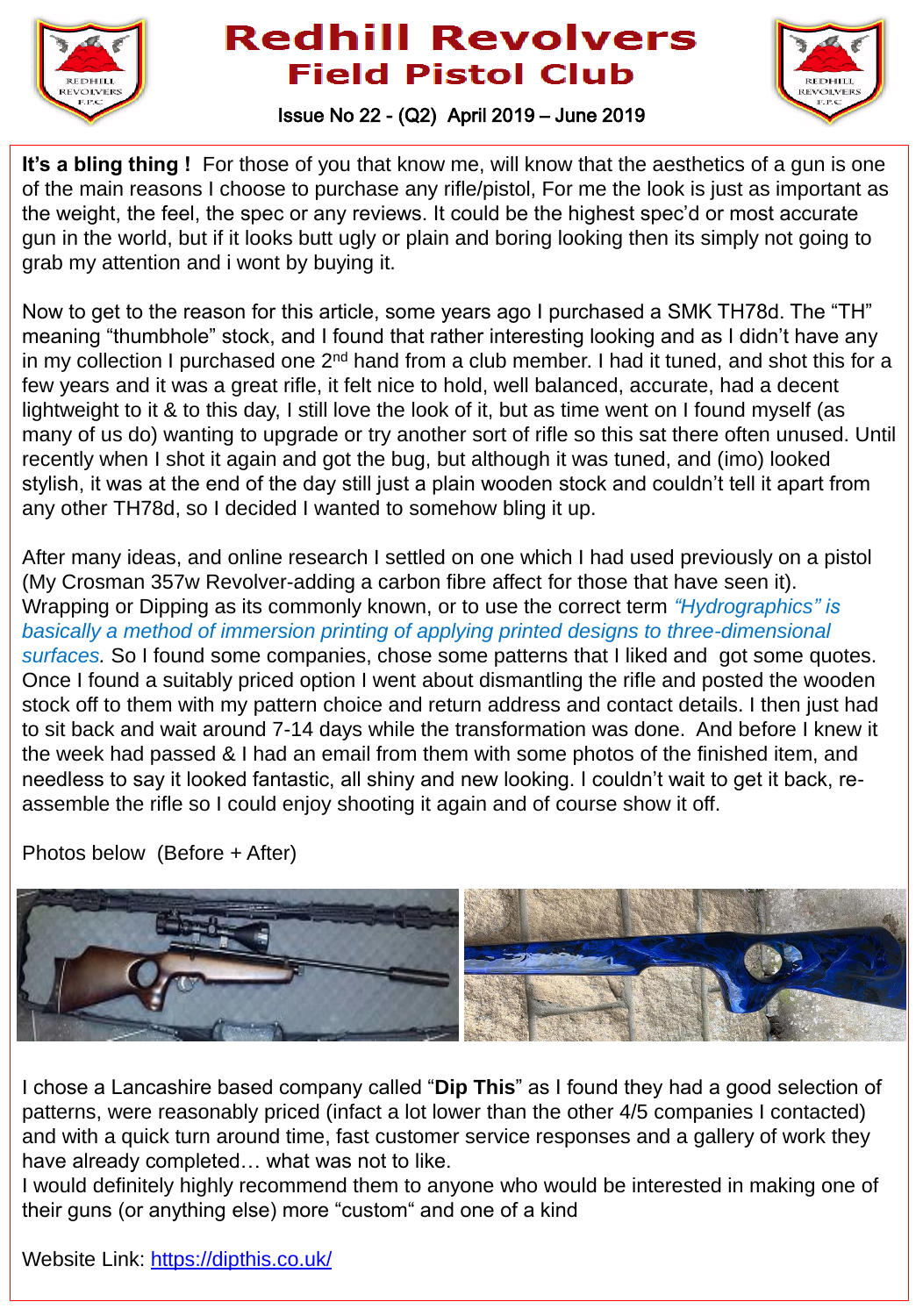



### Issue No 22 - (Q2) April 2019 – June 2019

**It's a bling thing !** For those of you that know me, will know that the aesthetics of a gun is one of the main reasons I choose to purchase any rifle/pistol, For me the look is just as important as the weight, the feel, the spec or any reviews. It could be the highest spec'd or most accurate gun in the world, but if it looks butt ugly or plain and boring looking then its simply not going to grab my attention and i wont by buying it.

Now to get to the reason for this article, some years ago I purchased a SMK TH78d. The "TH" meaning "thumbhole" stock, and I found that rather interesting looking and as I didn't have any in my collection I purchased one  $2^{nd}$  hand from a club member. I had it tuned, and shot this for a few years and it was a great rifle, it felt nice to hold, well balanced, accurate, had a decent lightweight to it & to this day, I still love the look of it, but as time went on I found myself (as many of us do) wanting to upgrade or try another sort of rifle so this sat there often unused. Until recently when I shot it again and got the bug, but although it was tuned, and (imo) looked stylish, it was at the end of the day still just a plain wooden stock and couldn't tell it apart from any other TH78d, so I decided I wanted to somehow bling it up.

After many ideas, and online research I settled on one which I had used previously on a pistol (My Crosman 357w Revolver-adding a carbon fibre affect for those that have seen it). Wrapping or Dipping as its commonly known, or to use the correct term *"Hydrographics" is basically a method of immersion printing of applying printed designs to three-dimensional surfaces.* So I found some companies, chose some patterns that I liked and got some quotes. Once I found a suitably priced option I went about dismantling the rifle and posted the wooden stock off to them with my pattern choice and return address and contact details. I then just had to sit back and wait around 7-14 days while the transformation was done. And before I knew it the week had passed & I had an email from them with some photos of the finished item, and needless to say it looked fantastic, all shiny and new looking. I couldn't wait to get it back, reassemble the rifle so I could enjoy shooting it again and of course show it off.

Photos below (Before + After)



I chose a Lancashire based company called "**Dip This**" as I found they had a good selection of patterns, were reasonably priced (infact a lot lower than the other 4/5 companies I contacted) and with a quick turn around time, fast customer service responses and a gallery of work they have already completed… what was not to like.

I would definitely highly recommend them to anyone who would be interested in making one of their guns (or anything else) more "custom" and one of a kind

Website Link: <https://dipthis.co.uk/>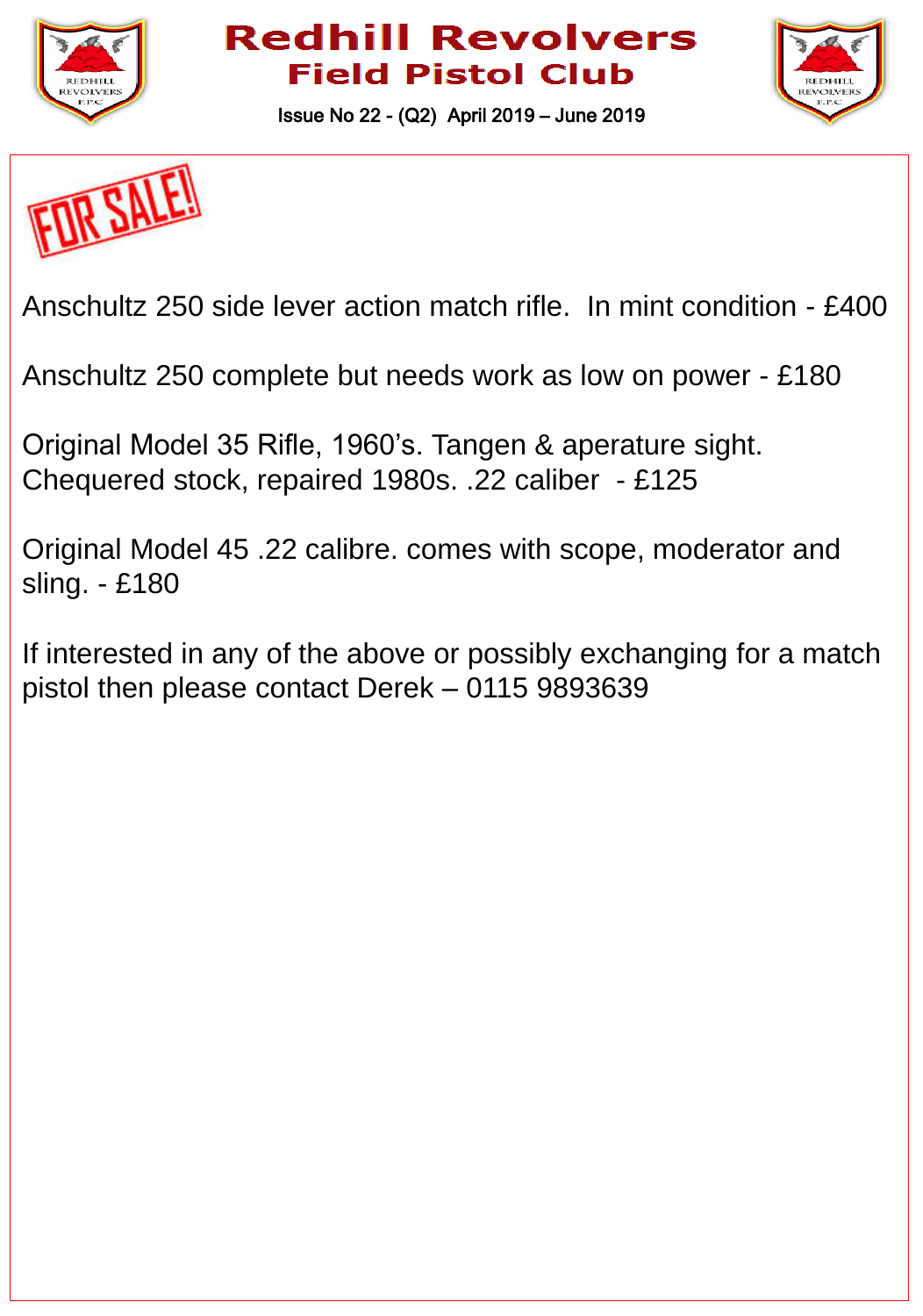



Issue No 22 - (Q2) April 2019 – June 2019



Anschultz 250 side lever action match rifle. In mint condition - £400

Anschultz 250 complete but needs work as low on power - £180

Original Model 35 Rifle, 1960's. Tangen & aperature sight. Chequered stock, repaired 1980s. .22 caliber - £125

Original Model 45 .22 calibre. comes with scope, moderator and sling. - £180

If interested in any of the above or possibly exchanging for a match pistol then please contact Derek – 0115 9893639